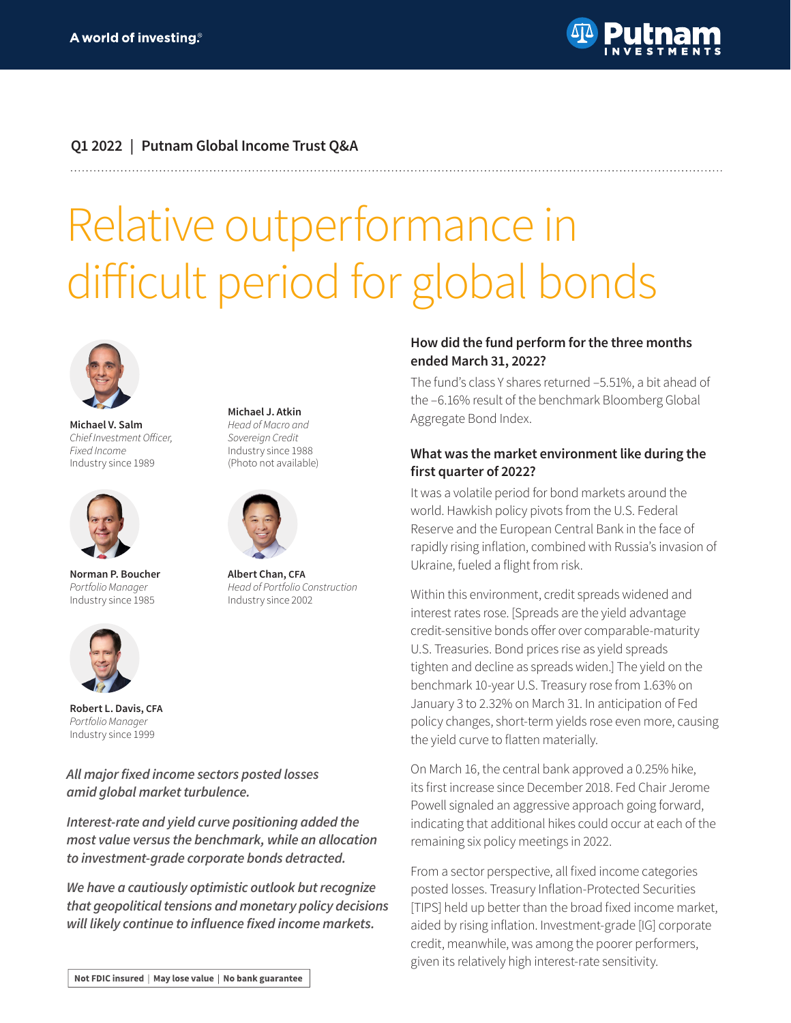

# **Q1 2022 | Putnam Global Income Trust Q&A**

**Michael J. Atkin**  *Head of Macro and Sovereign Credit* Industry since 1988 (Photo not available)

**Albert Chan, CFA**

Industry since 2002

*Head of Portfolio Construction* 

# Relative outperformance in difficult period for global bonds



**Michael V. Salm** Chief Investment Officer, *Fixed Income* Industry since 1989



**Norman P. Boucher**  *Portfolio Manager* Industry since 1985



**Robert L. Davis, CFA** *Portfolio Manager* Industry since 1999

**All major fixed income sectors posted losses amid global market turbulence.** 

**Interest-rate and yield curve positioning added the most value versus the benchmark, while an allocation to investment-grade corporate bonds detracted.** 

**We have a cautiously optimistic outlook but recognize that geopolitical tensions and monetary policy decisions will likely continue to influence fixed income markets.**

#### **How did the fund perform for the three months ended March 31, 2022?**

The fund's class Y shares returned –5.51%, a bit ahead of the –6.16% result of the benchmark Bloomberg Global Aggregate Bond Index.

## **What was the market environment like during the first quarter of 2022?**

It was a volatile period for bond markets around the world. Hawkish policy pivots from the U.S. Federal Reserve and the European Central Bank in the face of rapidly rising inflation, combined with Russia's invasion of Ukraine, fueled a flight from risk.

Within this environment, credit spreads widened and interest rates rose. [Spreads are the yield advantage credit-sensitive bonds offer over comparable-maturity U.S. Treasuries. Bond prices rise as yield spreads tighten and decline as spreads widen.] The yield on the benchmark 10-year U.S. Treasury rose from 1.63% on January 3 to 2.32% on March 31. In anticipation of Fed policy changes, short-term yields rose even more, causing the yield curve to flatten materially.

On March 16, the central bank approved a 0.25% hike, its first increase since December 2018. Fed Chair Jerome Powell signaled an aggressive approach going forward, indicating that additional hikes could occur at each of the remaining six policy meetings in 2022.

From a sector perspective, all fixed income categories posted losses. Treasury Inflation-Protected Securities [TIPS] held up better than the broad fixed income market, aided by rising inflation. Investment-grade [IG] corporate credit, meanwhile, was among the poorer performers, given its relatively high interest-rate sensitivity.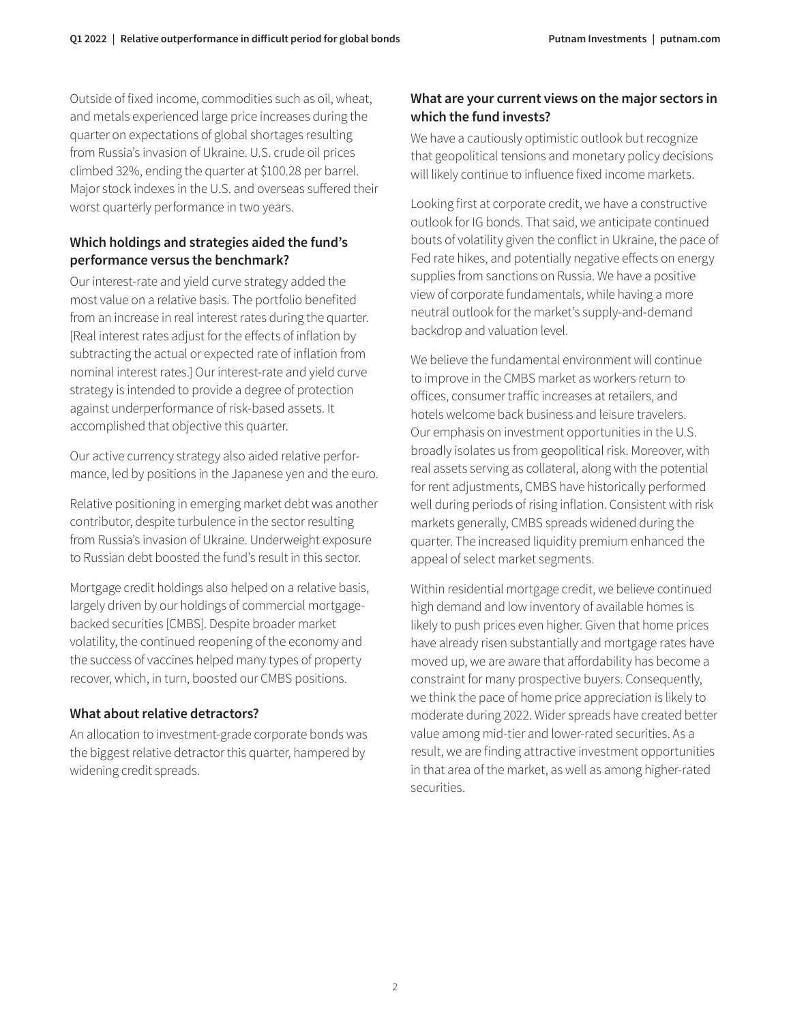Outside of fixed income, commodities such as oil, wheat, and metals experienced large price increases during the quarter on expectations of global shortages resulting from Russia's invasion of Ukraine. U.S. crude oil prices climbed 32%, ending the quarter at \$100.28 per barrel. Major stock indexes in the U.S. and overseas suffered their worst quarterly performance in two years.

# **Which holdings and strategies aided the fund's performance versus the benchmark?**

Our interest-rate and yield curve strategy added the most value on a relative basis. The portfolio benefited from an increase in real interest rates during the quarter. [Real interest rates adjust for the effects of inflation by subtracting the actual or expected rate of inflation from nominal interest rates.] Our interest-rate and yield curve strategy is intended to provide a degree of protection against underperformance of risk-based assets. It accomplished that objective this quarter.

Our active currency strategy also aided relative performance, led by positions in the Japanese yen and the euro.

Relative positioning in emerging market debt was another contributor, despite turbulence in the sector resulting from Russia's invasion of Ukraine. Underweight exposure to Russian debt boosted the fund's result in this sector.

Mortgage credit holdings also helped on a relative basis, largely driven by our holdings of commercial mortgagebacked securities [CMBS]. Despite broader market volatility, the continued reopening of the economy and the success of vaccines helped many types of property recover, which, in turn, boosted our CMBS positions.

## **What about relative detractors?**

An allocation to investment-grade corporate bonds was the biggest relative detractor this quarter, hampered by widening credit spreads.

# **What are your current views on the major sectors in which the fund invests?**

We have a cautiously optimistic outlook but recognize that geopolitical tensions and monetary policy decisions will likely continue to influence fixed income markets.

Looking first at corporate credit, we have a constructive outlook for IG bonds. That said, we anticipate continued bouts of volatility given the conflict in Ukraine, the pace of Fed rate hikes, and potentially negative effects on energy supplies from sanctions on Russia. We have a positive view of corporate fundamentals, while having a more neutral outlook for the market's supply-and-demand backdrop and valuation level.

We believe the fundamental environment will continue to improve in the CMBS market as workers return to offices, consumer traffic increases at retailers, and hotels welcome back business and leisure travelers. Our emphasis on investment opportunities in the U.S. broadly isolates us from geopolitical risk. Moreover, with real assets serving as collateral, along with the potential for rent adjustments, CMBS have historically performed well during periods of rising inflation. Consistent with risk markets generally, CMBS spreads widened during the quarter. The increased liquidity premium enhanced the appeal of select market segments.

Within residential mortgage credit, we believe continued high demand and low inventory of available homes is likely to push prices even higher. Given that home prices have already risen substantially and mortgage rates have moved up, we are aware that affordability has become a constraint for many prospective buyers. Consequently, we think the pace of home price appreciation is likely to moderate during 2022. Wider spreads have created better value among mid-tier and lower-rated securities. As a result, we are finding attractive investment opportunities in that area of the market, as well as among higher-rated securities.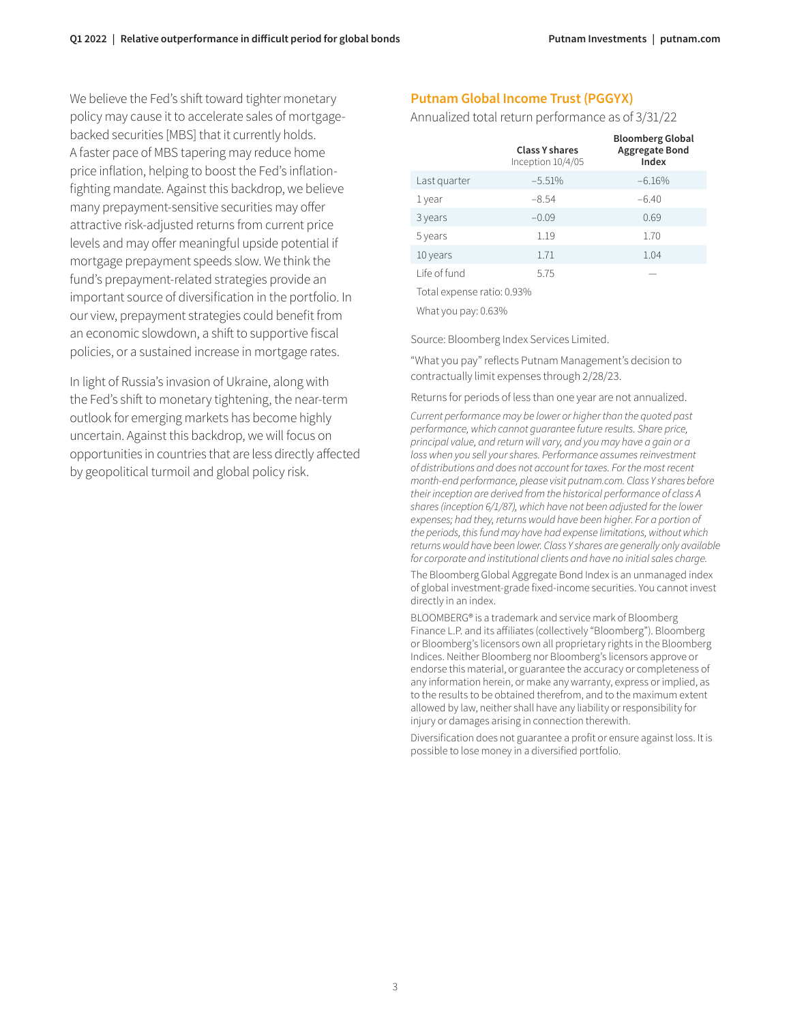We believe the Fed's shift toward tighter monetary policy may cause it to accelerate sales of mortgagebacked securities [MBS] that it currently holds. A faster pace of MBS tapering may reduce home price inflation, helping to boost the Fed's inflationfighting mandate. Against this backdrop, we believe many prepayment-sensitive securities may offer attractive risk-adjusted returns from current price levels and may offer meaningful upside potential if mortgage prepayment speeds slow. We think the fund's prepayment-related strategies provide an important source of diversification in the portfolio. In our view, prepayment strategies could benefit from an economic slowdown, a shift to supportive fiscal policies, or a sustained increase in mortgage rates.

In light of Russia's invasion of Ukraine, along with the Fed's shift to monetary tightening, the near-term outlook for emerging markets has become highly uncertain. Against this backdrop, we will focus on opportunities in countries that are less directly affected by geopolitical turmoil and global policy risk.

#### **Putnam Global Income Trust (PGGYX)**

#### Annualized total return performance as of 3/31/22

|                            | Class Y shares<br>Inception 10/4/05 | <b>Bloomberg Global</b><br><b>Aggregate Bond</b><br>Index |
|----------------------------|-------------------------------------|-----------------------------------------------------------|
| Last quarter               | $-5.51%$                            | $-6.16%$                                                  |
| 1 year                     | $-8.54$                             | $-6.40$                                                   |
| 3 years                    | $-0.09$                             | 0.69                                                      |
| 5 years                    | 1.19                                | 1.70                                                      |
| 10 years                   | 1.71                                | 1.04                                                      |
| Life of fund               | 5.75                                |                                                           |
| Total expense ratio: 0.93% |                                     |                                                           |

What you pay: 0.63%

Source: Bloomberg Index Services Limited.

"What you pay" reflects Putnam Management's decision to contractually limit expenses through 2/28/23.

Returns for periods of less than one year are not annualized.

*Current performance may be lower or higher than the quoted past*  performance, which cannot guarantee future results. Share price, principal value, and return will vary, and you may have a gain or a loss when you sell your shares. Performance assumes reinvestment of distributions and does not account for taxes. For the most recent month-end performance, please visit [putnam.com.](https://www.putnam.com?ref=TL031.pdf) *Class Y shares before their inception are derived from the historical performance of class A*  shares (inception 6/1/87), which have not been adjusted for the lower expenses; had they, returns would have been higher. For a portion of the periods, this fund may have had expense limitations, without which returns would have been lower. Class Y shares are generally only available for corporate and institutional clients and have no initial sales charge.

The Bloomberg Global Aggregate Bond Index is an unmanaged index of global investment-grade fixed-income securities. You cannot invest directly in an index.

BLOOMBERG® is a trademark and service mark of Bloomberg Finance L.P. and its affiliates (collectively "Bloomberg"). Bloomberg or Bloomberg's licensors own all proprietary rights in the Bloomberg Indices. Neither Bloomberg nor Bloomberg's licensors approve or endorse this material, or guarantee the accuracy or completeness of any information herein, or make any warranty, express or implied, as to the results to be obtained therefrom, and to the maximum extent allowed by law, neither shall have any liability or responsibility for injury or damages arising in connection therewith.

Diversification does not guarantee a profit or ensure against loss. It is possible to lose money in a diversified portfolio.